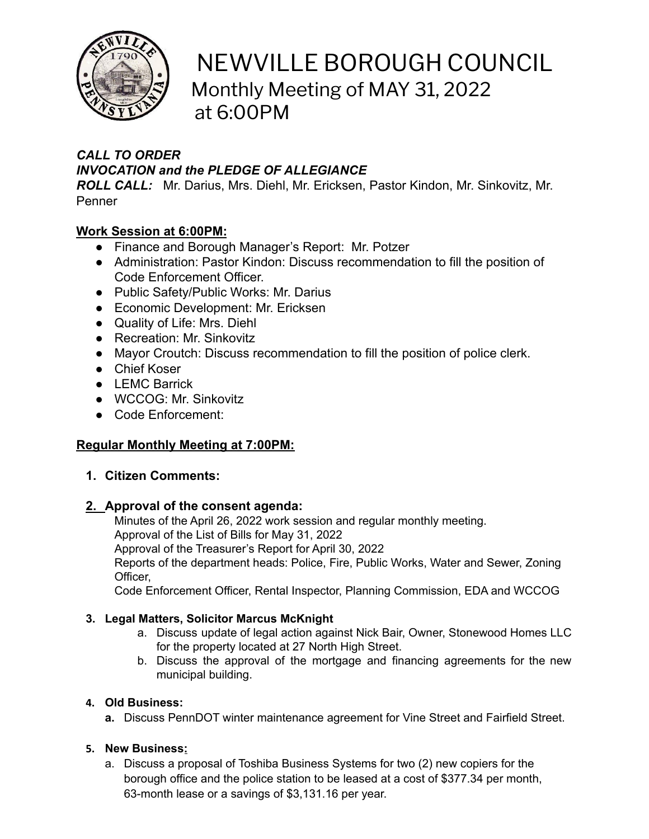

# NEWVILLE BOROUGH COUNCIL Monthly Meeting of MAY 31, 2022 at 6:00PM

# *CALL TO ORDER INVOCATION and the PLEDGE OF ALLEGIANCE*

*ROLL CALL:* Mr. Darius, Mrs. Diehl, Mr. Ericksen, Pastor Kindon, Mr. Sinkovitz, Mr. Penner

## **Work Session at 6:00PM:**

- Finance and Borough Manager's Report: Mr. Potzer
- Administration: Pastor Kindon: Discuss recommendation to fill the position of Code Enforcement Officer.
- Public Safety/Public Works: Mr. Darius
- Economic Development: Mr. Ericksen
- Quality of Life: Mrs. Diehl
- Recreation: Mr. Sinkovitz
- Mayor Croutch: Discuss recommendation to fill the position of police clerk.
- Chief Koser
- LEMC Barrick
- WCCOG: Mr. Sinkovitz
- Code Enforcement:

## **Regular Monthly Meeting at 7:00PM:**

## **1. Citizen Comments:**

## **2. Approval of the consent agenda:**

Minutes of the April 26, 2022 work session and regular monthly meeting. Approval of the List of Bills for May 31, 2022 Approval of the Treasurer's Report for April 30, 2022 Reports of the department heads: Police, Fire, Public Works, Water and Sewer, Zoning Officer,

Code Enforcement Officer, Rental Inspector, Planning Commission, EDA and WCCOG

## **3. Legal Matters, Solicitor Marcus McKnight**

- a. Discuss update of legal action against Nick Bair, Owner, Stonewood Homes LLC for the property located at 27 North High Street.
- b. Discuss the approval of the mortgage and financing agreements for the new municipal building.

## **4. Old Business:**

**a.** Discuss PennDOT winter maintenance agreement for Vine Street and Fairfield Street.

## **5. New Business:**

a. Discuss a proposal of Toshiba Business Systems for two (2) new copiers for the borough office and the police station to be leased at a cost of \$377.34 per month, 63-month lease or a savings of \$3,131.16 per year.